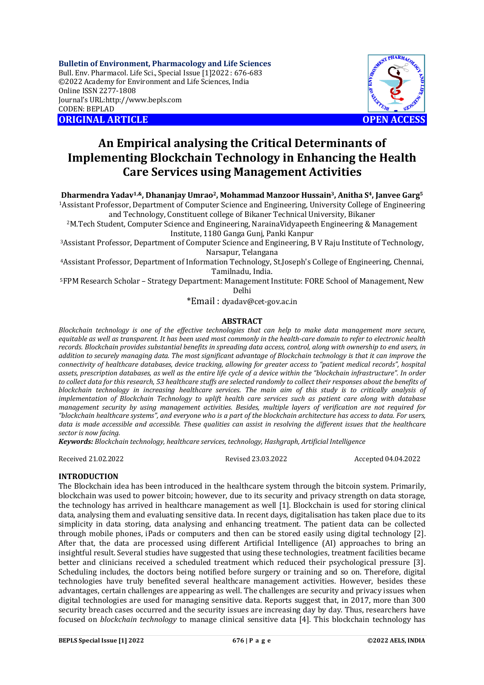**Bulletin of Environment, Pharmacology and Life Sciences** Bull. Env. Pharmacol. Life Sci., Special Issue [1]2022 : 676-683 ©2022 Academy for Environment and Life Sciences, India Online ISSN 2277-1808 Journal's URL:<http://www.bepls.com> CODEN: BEPLAD **ORIGINAL ARTICLE OPEN ACCESS** 



# **An Empirical analysing the Critical Determinants of Implementing Blockchain Technology in Enhancing the Health Care Services using Management Activities**

**Dharmendra Yadav1,&, Dhananjay Umrao2, Mohammad Manzoor Hussain3, Anitha S4, Janvee Garg<sup>5</sup>**

<sup>1</sup>Assistant Professor, Department of Computer Science and Engineering, University College of Engineering and Technology, Constituent college of Bikaner Technical University, Bikaner

<sup>2</sup>M.Tech Student, Computer Science and Engineering, NarainaVidyapeeth Engineering & Management Institute, 1180 Ganga Gunj, Panki Kanpur

<sup>3</sup>Assistant Professor, Department of Computer Science and Engineering, B V Raju Institute of Technology, Narsapur, Telangana

<sup>4</sup>Assistant Professor, Department of Information Technology, St.Joseph's College of Engineering, Chennai, Tamilnadu, India.

<sup>5</sup>FPM Research Scholar – Strategy Department: Management Institute: FORE School of Management, New Delhi

\*Email : [dyadav@cet-gov.ac.in](mailto:dyadav@cet-gov.ac.in)

## **ABSTRACT**

*Blockchain technology is one of the effective technologies that can help to make data management more secure, equitable as well as transparent. It has been used most commonly in the health-care domain to refer to electronic health records. Blockchain provides substantial benefits in spreading data access, control, along with ownership to end users, in addition to securely managing data. The most significant advantage of Blockchain technology is that it can improve the connectivity of healthcare databases, device tracking, allowing for greater access to "patient medical records", hospital assets, prescription databases, as well as the entire life cycle of a device within the "blockchain infrastructure". In order to collect data for this research, 53 healthcare stuffs are selected randomly to collect their responses about the benefits of blockchain technology in increasing healthcare services. The main aim of this study is to critically analysis of implementation of Blockchain Technology to uplift health care services such as patient care along with database management security by using management activities. Besides, multiple layers of verification are not required for "blockchain healthcare systems", and everyone who is a part of the blockchain architecture has access to data. For users, data is made accessible and accessible. These qualities can assist in resolving the different issues that the healthcare sector is now facing.*

*Keywords: Blockchain technology, healthcare services, technology, Hashgraph, Artificial Intelligence*

Received 21.02.2022 Revised 23.03.2022 Accepted 04.04.2022

## **INTRODUCTION**

The Blockchain idea has been introduced in the healthcare system through the bitcoin system. Primarily, blockchain was used to power bitcoin; however, due to its security and privacy strength on data storage, the technology has arrived in healthcare management as well [1]. Blockchain is used for storing clinical data, analysing them and evaluating sensitive data. In recent days, digitalisation has taken place due to its simplicity in data storing, data analysing and enhancing treatment. The patient data can be collected through mobile phones, iPads or computers and then can be stored easily using digital technology [2]. After that, the data are processed using different Artificial Intelligence (AI) approaches to bring an insightful result. Several studies have suggested that using these technologies, treatment facilities became better and clinicians received a scheduled treatment which reduced their psychological pressure [3]. Scheduling includes, the doctors being notified before surgery or training and so on. Therefore, digital technologies have truly benefited several healthcare management activities. However, besides these advantages, certain challenges are appearing as well. The challenges are security and privacy issues when digital technologies are used for managing sensitive data. Reports suggest that, in 2017, more than 300 security breach cases occurred and the security issues are increasing day by day. Thus, researchers have focused on *blockchain technology* to manage clinical sensitive data [4]. This blockchain technology has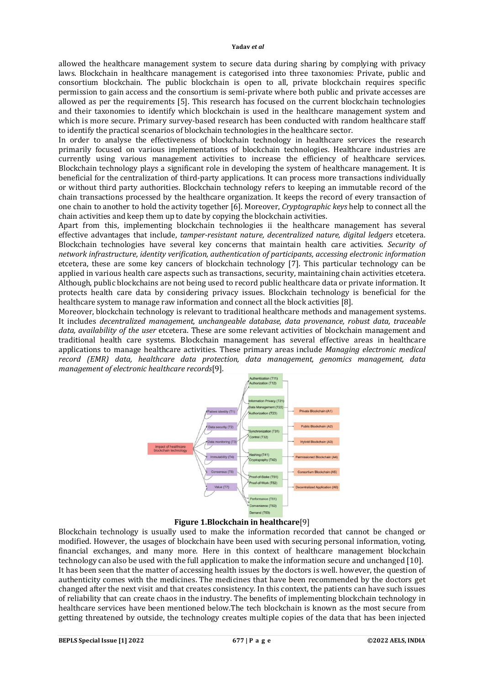allowed the healthcare management system to secure data during sharing by complying with privacy laws. Blockchain in healthcare management is categorised into three taxonomies: Private, public and consortium blockchain. The public blockchain is open to all, private blockchain requires specific permission to gain access and the consortium is semi-private where both public and private accesses are allowed as per the requirements [5]. This research has focused on the current blockchain technologies and their taxonomies to identify which blockchain is used in the healthcare management system and which is more secure. Primary survey-based research has been conducted with random healthcare staff to identify the practical scenarios of blockchain technologies in the healthcare sector.

In order to analyse the effectiveness of blockchain technology in healthcare services the research primarily focused on various implementations of blockchain technologies. Healthcare industries are currently using various management activities to increase the efficiency of healthcare services. Blockchain technology plays a significant role in developing the system of healthcare management. It is beneficial for the centralization of third-party applications. It can process more transactions individually or without third party authorities. Blockchain technology refers to keeping an immutable record of the chain transactions processed by the healthcare organization. It keeps the record of every transaction of one chain to another to hold the activity together [6]. Moreover, *Cryptographic keys* help to connect all the chain activities and keep them up to date by copying the blockchain activities.

Apart from this, implementing blockchain technologies ii the healthcare management has several effective advantages that include, *tamper-resistant nature, decentralized nature, digital ledgers* etcetera. Blockchain technologies have several key concerns that maintain health care activities. *Security of network infrastructure, identity verification, authentication of participants, accessing electronic information* etcetera, these are some key cancers of blockchain technology [7]. This particular technology can be applied in various health care aspects such as transactions, security, maintaining chain activities etcetera. Although, public blockchains are not being used to record public healthcare data or private information. It protects health care data by considering privacy issues. Blockchain technology is beneficial for the healthcare system to manage raw information and connect all the block activities [8].

Moreover, blockchain technology is relevant to traditional healthcare methods and management systems. It includes *decentralized management, unchangeable database, data provenance, robust data, traceable data, availability of the user* etcetera. These are some relevant activities of blockchain management and traditional health care systems. Blockchain management has several effective areas in healthcare applications to manage healthcare activities. These primary areas include *Managing electronic medical record (EMR) data, healthcare data protection, data management, genomics management, data management of electronic healthcare records*[9]*.* 



# **Figure 1.Blockchain in healthcare**[9]

Blockchain technology is usually used to make the information recorded that cannot be changed or modified. However, the usages of blockchain have been used with securing personal information, voting, financial exchanges, and many more. Here in this context of healthcare management blockchain technology can also be used with the full application to make the information secure and unchanged [10]. It has been seen that the matter of accessing health issues by the doctors is well. however, the question of authenticity comes with the medicines. The medicines that have been recommended by the doctors get changed after the next visit and that creates consistency. In this context, the patients can have such issues of reliability that can create chaos in the industry. The benefits of implementing blockchain technology in healthcare services have been mentioned below.The tech blockchain is known as the most secure from getting threatened by outside, the technology creates multiple copies of the data that has been injected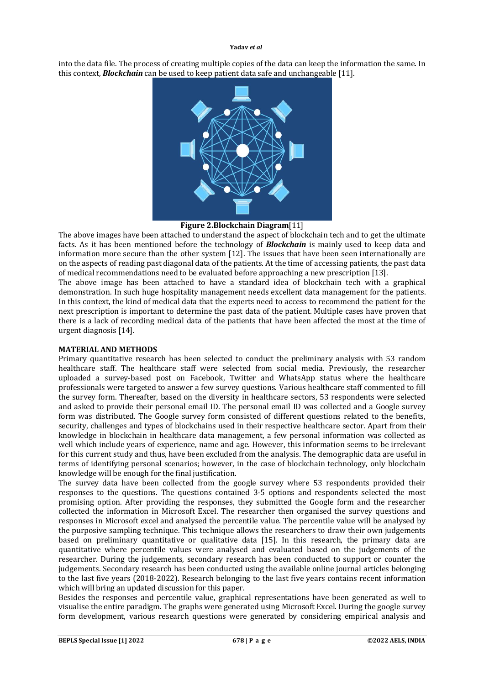into the data file. The process of creating multiple copies of the data can keep the information the same. In this context, *Blockchain* can be used to keep patient data safe and unchangeable [11].



## **Figure 2.Blockchain Diagram**[11]

The above images have been attached to understand the aspect of blockchain tech and to get the ultimate facts. As it has been mentioned before the technology of *Blockchain* is mainly used to keep data and information more secure than the other system [12]. The issues that have been seen internationally are on the aspects of reading past diagonal data of the patients. At the time of accessing patients, the past data of medical recommendations need to be evaluated before approaching a new prescription [13].

The above image has been attached to have a standard idea of blockchain tech with a graphical demonstration. In such huge hospitality management needs excellent data management for the patients. In this context, the kind of medical data that the experts need to access to recommend the patient for the next prescription is important to determine the past data of the patient. Multiple cases have proven that there is a lack of recording medical data of the patients that have been affected the most at the time of urgent diagnosis [14].

## **MATERIAL AND METHODS**

Primary quantitative research has been selected to conduct the preliminary analysis with 53 random healthcare staff. The healthcare staff were selected from social media. Previously, the researcher uploaded a survey-based post on Facebook, Twitter and WhatsApp status where the healthcare professionals were targeted to answer a few survey questions. Various healthcare staff commented to fill the survey form. Thereafter, based on the diversity in healthcare sectors, 53 respondents were selected and asked to provide their personal email ID. The personal email ID was collected and a Google survey form was distributed. The Google survey form consisted of different questions related to the benefits, security, challenges and types of blockchains used in their respective healthcare sector. Apart from their knowledge in blockchain in healthcare data management, a few personal information was collected as well which include years of experience, name and age. However, this information seems to be irrelevant for this current study and thus, have been excluded from the analysis. The demographic data are useful in terms of identifying personal scenarios; however, in the case of blockchain technology, only blockchain knowledge will be enough for the final justification.

The survey data have been collected from the google survey where 53 respondents provided their responses to the questions. The questions contained 3-5 options and respondents selected the most promising option. After providing the responses, they submitted the Google form and the researcher collected the information in Microsoft Excel. The researcher then organised the survey questions and responses in Microsoft excel and analysed the percentile value. The percentile value will be analysed by the purposive sampling technique. This technique allows the researchers to draw their own judgements based on preliminary quantitative or qualitative data [15]. In this research, the primary data are quantitative where percentile values were analysed and evaluated based on the judgements of the researcher. During the judgements, secondary research has been conducted to support or counter the judgements. Secondary research has been conducted using the available online journal articles belonging to the last five years (2018-2022). Research belonging to the last five years contains recent information which will bring an updated discussion for this paper.

Besides the responses and percentile value, graphical representations have been generated as well to visualise the entire paradigm. The graphs were generated using Microsoft Excel. During the google survey form development, various research questions were generated by considering empirical analysis and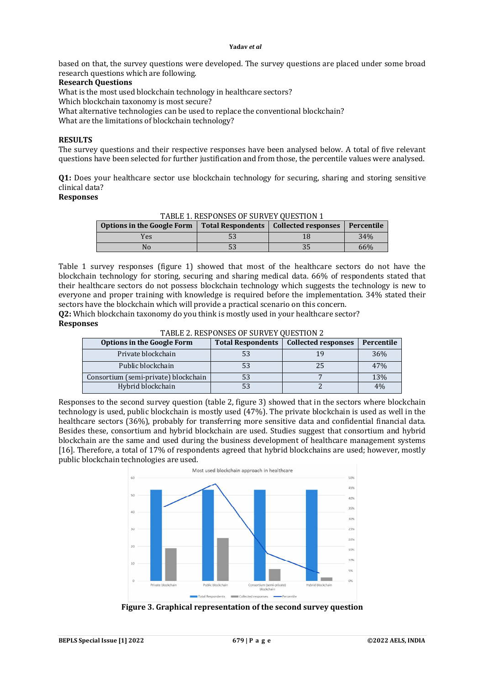based on that, the survey questions were developed. The survey questions are placed under some broad research questions which are following.

#### **Research Questions**

What is the most used blockchain technology in healthcare sectors?

Which blockchain taxonomy is most secure?

What alternative technologies can be used to replace the conventional blockchain? What are the limitations of blockchain technology?

## **RESULTS**

The survey questions and their respective responses have been analysed below. A total of five relevant questions have been selected for further justification and from those, the percentile values were analysed.

**Q1:** Does your healthcare sector use blockchain technology for securing, sharing and storing sensitive clinical data?

## **Responses**

TABLE 1. RESPONSES OF SURVEY QUESTION 1

| <b>Options in the Google Form</b> | Total Respondents   Collected responses | Percentile |
|-----------------------------------|-----------------------------------------|------------|
| Yes                               |                                         | 34%        |
|                                   | ບປ                                      | 66%        |

Table 1 survey responses (figure 1) showed that most of the healthcare sectors do not have the blockchain technology for storing, securing and sharing medical data. 66% of respondents stated that their healthcare sectors do not possess blockchain technology which suggests the technology is new to everyone and proper training with knowledge is required before the implementation. 34% stated their sectors have the blockchain which will provide a practical scenario on this concern.

**Q2:** Which blockchain taxonomy do you think is mostly used in your healthcare sector? **Responses**

TABLE 2. RESPONSES OF SURVEY QUESTION 2

| <b>Options in the Google Form</b>    |    | Total Respondents   Collected responses | Percentile |
|--------------------------------------|----|-----------------------------------------|------------|
| Private blockchain                   | 53 |                                         | 36%        |
| Public blockchain                    | 53 | 25                                      | 47%        |
| Consortium (semi-private) blockchain | 53 |                                         | 13%        |
| Hybrid blockchain                    | 53 |                                         | 4%         |

Responses to the second survey question (table 2, figure 3) showed that in the sectors where blockchain technology is used, public blockchain is mostly used (47%). The private blockchain is used as well in the healthcare sectors (36%), probably for transferring more sensitive data and confidential financial data. Besides these, consortium and hybrid blockchain are used. Studies suggest that consortium and hybrid blockchain are the same and used during the business development of healthcare management systems [16]. Therefore, a total of 17% of respondents agreed that hybrid blockchains are used; however, mostly public blockchain technologies are used.



**Figure 3. Graphical representation of the second survey question**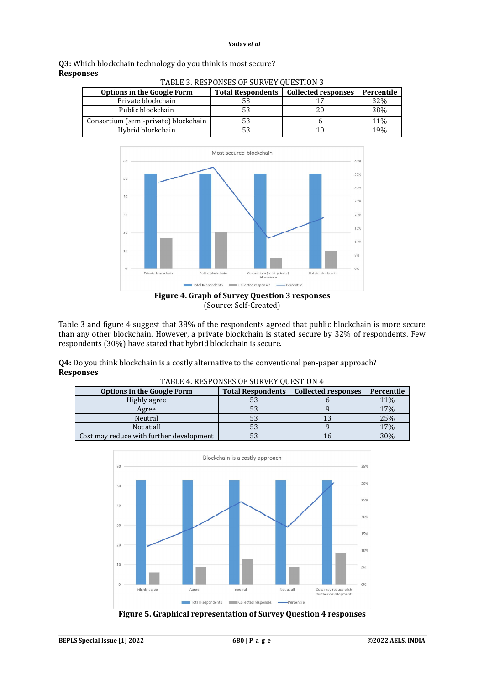|                  | Q3: Which blockchain technology do you think is most secure? |
|------------------|--------------------------------------------------------------|
| <b>Responses</b> |                                                              |
|                  | TADI E 2. DECDOMCEC OF CUDVEY OUFCTION 2                     |

| TADLE 3. RESPONSES OF SORVET QUESTION S |                          |                            |            |
|-----------------------------------------|--------------------------|----------------------------|------------|
| <b>Options in the Google Form</b>       | <b>Total Respondents</b> | <b>Collected responses</b> | Percentile |
| Private blockchain                      |                          |                            | 32%        |
| Public blockchain                       | 53                       | 20                         | 38%        |
| Consortium (semi-private) blockchain    |                          |                            | 11%        |
| Hybrid blockchain                       | 53                       | 10                         | 19%        |



(Source: Self-Created)

Table 3 and figure 4 suggest that 38% of the respondents agreed that public blockchain is more secure than any other blockchain. However, a private blockchain is stated secure by 32% of respondents. Few respondents (30%) have stated that hybrid blockchain is secure.

**Q4:** Do you think blockchain is a costly alternative to the conventional pen-paper approach? **Responses** TABLE 4. DESPONSES OF SURVEY OUESTION 4

| 111000 T. ROSI ONSES OF SORVET QUESTION T |                          |                            |            |
|-------------------------------------------|--------------------------|----------------------------|------------|
| <b>Options in the Google Form</b>         | <b>Total Respondents</b> | <b>Collected responses</b> | Percentile |
| Highly agree                              | აა                       |                            | 11%        |
| Agree                                     |                          |                            | 17%        |
| Neutral                                   | 53                       |                            | 25%        |
| Not at all                                |                          |                            | 17%        |
| Cost may reduce with further development  | ээ                       |                            | 30%        |



**Figure 5. Graphical representation of Survey Question 4 responses**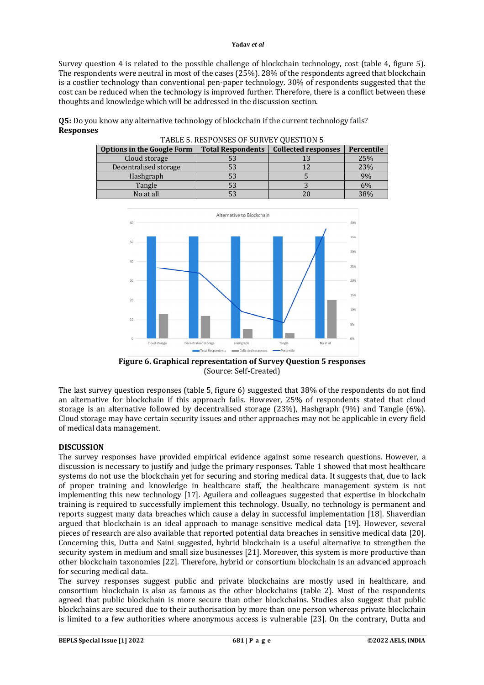Survey question 4 is related to the possible challenge of blockchain technology, cost (table 4, figure 5). The respondents were neutral in most of the cases (25%). 28% of the respondents agreed that blockchain is a costlier technology than conventional pen-paper technology. 30% of respondents suggested that the cost can be reduced when the technology is improved further. Therefore, there is a conflict between these thoughts and knowledge which will be addressed in the discussion section.

**Q5:** Do you know any alternative technology of blockchain if the current technology fails? **Responses** TABLE 5. RESPONSES OF SUBVEY OUTSTION 5

| TADLE 3. NESPUNSES OF SUNVET QUESTION 3 |                          |                            |            |
|-----------------------------------------|--------------------------|----------------------------|------------|
| <b>Options in the Google Form</b>       | <b>Total Respondents</b> | <b>Collected responses</b> | Percentile |
| Cloud storage                           | 53                       |                            | 25%        |
| Decentralised storage                   | 53                       |                            | 23%        |
| Hashgraph                               | 53                       |                            | 9%         |
| Tangle                                  | 53                       |                            | 6%         |
| No at all                               | 53                       |                            | 38%        |



**Figure 6. Graphical representation of Survey Question 5 responses** (Source: Self-Created)

The last survey question responses (table 5, figure 6) suggested that 38% of the respondents do not find an alternative for blockchain if this approach fails. However, 25% of respondents stated that cloud storage is an alternative followed by decentralised storage (23%), Hashgraph (9%) and Tangle (6%). Cloud storage may have certain security issues and other approaches may not be applicable in every field of medical data management.

## **DISCUSSION**

The survey responses have provided empirical evidence against some research questions. However, a discussion is necessary to justify and judge the primary responses. Table 1 showed that most healthcare systems do not use the blockchain yet for securing and storing medical data. It suggests that, due to lack of proper training and knowledge in healthcare staff, the healthcare management system is not implementing this new technology [17]. Aguilera and colleagues suggested that expertise in blockchain training is required to successfully implement this technology. Usually, no technology is permanent and reports suggest many data breaches which cause a delay in successful implementation [18]. Shaverdian argued that blockchain is an ideal approach to manage sensitive medical data [19]. However, several pieces of research are also available that reported potential data breaches in sensitive medical data [20]. Concerning this, Dutta and Saini suggested, hybrid blockchain is a useful alternative to strengthen the security system in medium and small size businesses [21]. Moreover, this system is more productive than other blockchain taxonomies [22]. Therefore, hybrid or consortium blockchain is an advanced approach for securing medical data.

The survey responses suggest public and private blockchains are mostly used in healthcare, and consortium blockchain is also as famous as the other blockchains (table 2). Most of the respondents agreed that public blockchain is more secure than other blockchains. Studies also suggest that public blockchains are secured due to their authorisation by more than one person whereas private blockchain is limited to a few authorities where anonymous access is vulnerable [23]. On the contrary, Dutta and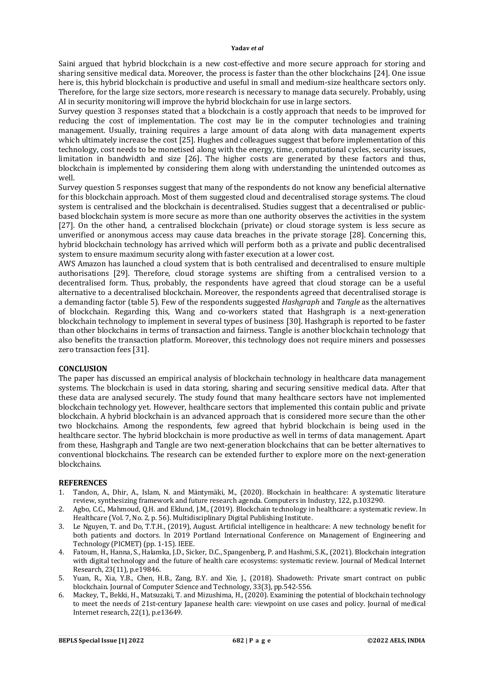Saini argued that hybrid blockchain is a new cost-effective and more secure approach for storing and sharing sensitive medical data. Moreover, the process is faster than the other blockchains [24]. One issue here is, this hybrid blockchain is productive and useful in small and medium-size healthcare sectors only. Therefore, for the large size sectors, more research is necessary to manage data securely. Probably, using AI in security monitoring will improve the hybrid blockchain for use in large sectors.

Survey question 3 responses stated that a blockchain is a costly approach that needs to be improved for reducing the cost of implementation. The cost may lie in the computer technologies and training management. Usually, training requires a large amount of data along with data management experts which ultimately increase the cost [25]. Hughes and colleagues suggest that before implementation of this technology, cost needs to be monetised along with the energy, time, computational cycles, security issues, limitation in bandwidth and size [26]. The higher costs are generated by these factors and thus, blockchain is implemented by considering them along with understanding the unintended outcomes as well.

Survey question 5 responses suggest that many of the respondents do not know any beneficial alternative for this blockchain approach. Most of them suggested cloud and decentralised storage systems. The cloud system is centralised and the blockchain is decentralised. Studies suggest that a decentralised or publicbased blockchain system is more secure as more than one authority observes the activities in the system [27]. On the other hand, a centralised blockchain (private) or cloud storage system is less secure as unverified or anonymous access may cause data breaches in the private storage [28]. Concerning this, hybrid blockchain technology has arrived which will perform both as a private and public decentralised system to ensure maximum security along with faster execution at a lower cost.

AWS Amazon has launched a cloud system that is both centralised and decentralised to ensure multiple authorisations [29]. Therefore, cloud storage systems are shifting from a centralised version to a decentralised form. Thus, probably, the respondents have agreed that cloud storage can be a useful alternative to a decentralised blockchain. Moreover, the respondents agreed that decentralised storage is a demanding factor (table 5). Few of the respondents suggested *Hashgraph* and *Tangle* as the alternatives of blockchain. Regarding this, Wang and co-workers stated that Hashgraph is a next-generation blockchain technology to implement in several types of business [30]. Hashgraph is reported to be faster than other blockchains in terms of transaction and fairness. Tangle is another blockchain technology that also benefits the transaction platform. Moreover, this technology does not require miners and possesses zero transaction fees [31].

## **CONCLUSION**

The paper has discussed an empirical analysis of blockchain technology in healthcare data management systems. The blockchain is used in data storing, sharing and securing sensitive medical data. After that these data are analysed securely. The study found that many healthcare sectors have not implemented blockchain technology yet. However, healthcare sectors that implemented this contain public and private blockchain. A hybrid blockchain is an advanced approach that is considered more secure than the other two blockchains. Among the respondents, few agreed that hybrid blockchain is being used in the healthcare sector. The hybrid blockchain is more productive as well in terms of data management. Apart from these, Hashgraph and Tangle are two next-generation blockchains that can be better alternatives to conventional blockchains. The research can be extended further to explore more on the next-generation blockchains.

## **REFERENCES**

- 1. Tandon, A., Dhir, A., Islam, N. and Mäntymäki, M., (2020). Blockchain in healthcare: A systematic literature review, synthesizing framework and future research agenda. Computers in Industry, 122, p.103290.
- 2. Agbo, C.C., Mahmoud, Q.H. and Eklund, J.M., (2019). Blockchain technology in healthcare: a systematic review. In Healthcare (Vol. 7, No. 2, p. 56). Multidisciplinary Digital Publishing Institute.
- 3. Le Nguyen, T. and Do, T.T.H., (2019), August. Artificial intelligence in healthcare: A new technology benefit for both patients and doctors. In 2019 Portland International Conference on Management of Engineering and Technology (PICMET) (pp. 1-15). IEEE.
- 4. Fatoum, H., Hanna, S., Halamka, J.D., Sicker, D.C., Spangenberg, P. and Hashmi, S.K., (2021). Blockchain integration with digital technology and the future of health care ecosystems: systematic review. Journal of Medical Internet Research, 23(11), p.e19846.
- 5. Yuan, R., Xia, Y.B., Chen, H.B., Zang, B.Y. and Xie, J., (2018). Shadoweth: Private smart contract on public blockchain. Journal of Computer Science and Technology, 33(3), pp.542-556.
- 6. Mackey, T., Bekki, H., Matsuzaki, T. and Mizushima, H., (2020). Examining the potential of blockchain technology to meet the needs of 21st-century Japanese health care: viewpoint on use cases and policy. Journal of medical Internet research, 22(1), p.e13649.